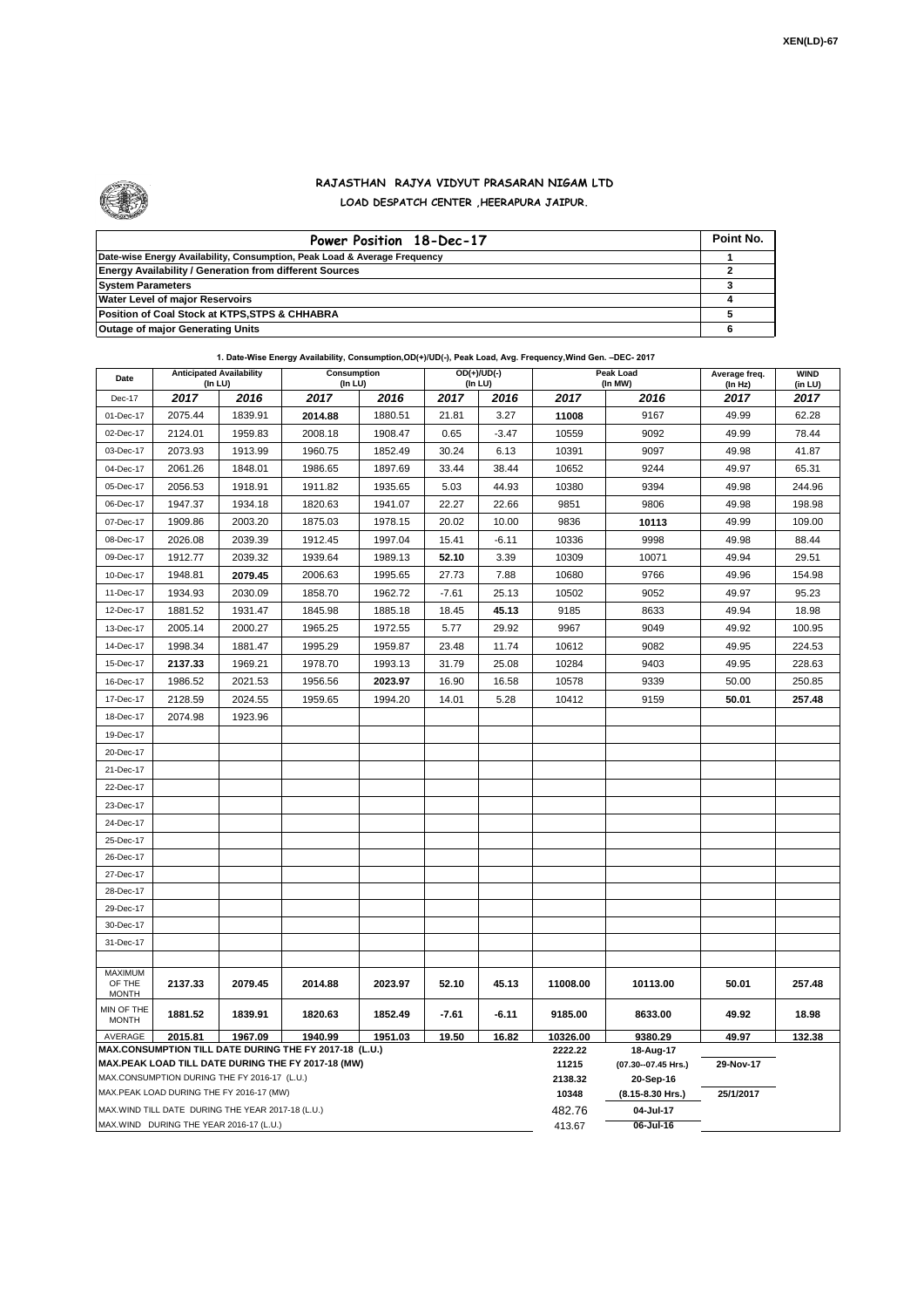

## **RAJASTHAN RAJYA VIDYUT PRASARAN NIGAM LTD LOAD DESPATCH CENTER ,HEERAPURA JAIPUR.**

| Power Position 18-Dec-17                                                  | Point No. |
|---------------------------------------------------------------------------|-----------|
| Date-wise Energy Availability, Consumption, Peak Load & Average Frequency |           |
| <b>Energy Availability / Generation from different Sources</b>            |           |
| <b>System Parameters</b>                                                  |           |
| <b>Water Level of major Reservoirs</b>                                    |           |
| Position of Coal Stock at KTPS, STPS & CHHABRA                            |           |
| <b>Outage of major Generating Units</b>                                   |           |

| Date                       | <b>Anticipated Availability</b><br>(In LU)         |         | Consumption<br>(In LU)                                            |         |         | $OD(+)/UD(-)$<br>(In LU) |                     | Peak Load<br>(In MW) | Average freq.<br>(In Hz) | <b>WIND</b><br>(in LU) |
|----------------------------|----------------------------------------------------|---------|-------------------------------------------------------------------|---------|---------|--------------------------|---------------------|----------------------|--------------------------|------------------------|
| Dec-17                     | 2017                                               | 2016    | 2017                                                              | 2016    | 2017    | 2016                     | 2017                | 2016                 | 2017                     | 2017                   |
| 01-Dec-17                  | 2075.44                                            | 1839.91 | 2014.88                                                           | 1880.51 | 21.81   | 3.27                     | 11008               | 9167                 | 49.99                    | 62.28                  |
| 02-Dec-17                  | 2124.01                                            | 1959.83 | 2008.18                                                           | 1908.47 | 0.65    | $-3.47$                  | 10559               | 9092                 | 49.99                    | 78.44                  |
| 03-Dec-17                  | 2073.93                                            | 1913.99 | 1960.75                                                           | 1852.49 | 30.24   | 6.13                     | 10391               | 9097                 | 49.98                    | 41.87                  |
| 04-Dec-17                  | 2061.26                                            | 1848.01 | 1986.65                                                           | 1897.69 | 33.44   | 38.44                    | 10652               | 9244                 | 49.97                    | 65.31                  |
| 05-Dec-17                  | 2056.53                                            | 1918.91 | 1911.82                                                           | 1935.65 | 5.03    | 44.93                    | 10380               | 9394                 | 49.98                    | 244.96                 |
| 06-Dec-17                  | 1947.37                                            | 1934.18 | 1820.63                                                           | 1941.07 | 22.27   | 22.66                    | 9851                | 9806                 | 49.98                    | 198.98                 |
| 07-Dec-17                  | 1909.86                                            | 2003.20 | 1875.03                                                           | 1978.15 | 20.02   | 10.00                    | 9836                | 10113                | 49.99                    | 109.00                 |
| 08-Dec-17                  | 2026.08                                            | 2039.39 | 1912.45                                                           | 1997.04 | 15.41   | $-6.11$                  | 10336               | 9998                 | 49.98                    | 88.44                  |
| 09-Dec-17                  | 1912.77                                            | 2039.32 | 1939.64                                                           | 1989.13 | 52.10   | 3.39                     | 10309               | 10071                | 49.94                    | 29.51                  |
| 10-Dec-17                  | 1948.81                                            | 2079.45 | 2006.63                                                           | 1995.65 | 27.73   | 7.88                     | 10680               | 9766                 | 49.96                    | 154.98                 |
| 11-Dec-17                  | 1934.93                                            | 2030.09 | 1858.70                                                           | 1962.72 | $-7.61$ | 25.13                    | 10502               | 9052                 | 49.97                    | 95.23                  |
| 12-Dec-17                  | 1881.52                                            | 1931.47 | 1845.98                                                           | 1885.18 | 18.45   | 45.13                    | 9185                | 8633                 | 49.94                    | 18.98                  |
| 13-Dec-17                  | 2005.14                                            | 2000.27 | 1965.25                                                           | 1972.55 | 5.77    | 29.92                    | 9967                | 9049                 | 49.92                    | 100.95                 |
| 14-Dec-17                  | 1998.34                                            | 1881.47 | 1995.29                                                           | 1959.87 | 23.48   | 11.74                    | 10612               | 9082                 | 49.95                    | 224.53                 |
| 15-Dec-17                  | 2137.33                                            | 1969.21 | 1978.70                                                           | 1993.13 | 31.79   | 25.08                    | 10284               | 9403                 | 49.95                    | 228.63                 |
| 16-Dec-17                  | 1986.52                                            | 2021.53 | 1956.56                                                           | 2023.97 | 16.90   | 16.58                    | 10578               | 9339                 | 50.00                    | 250.85                 |
| 17-Dec-17                  | 2128.59                                            | 2024.55 | 1959.65                                                           | 1994.20 | 14.01   | 5.28                     | 10412               | 9159                 | 50.01                    | 257.48                 |
| 18-Dec-17                  | 2074.98                                            | 1923.96 |                                                                   |         |         |                          |                     |                      |                          |                        |
| 19-Dec-17                  |                                                    |         |                                                                   |         |         |                          |                     |                      |                          |                        |
| 20-Dec-17                  |                                                    |         |                                                                   |         |         |                          |                     |                      |                          |                        |
| 21-Dec-17                  |                                                    |         |                                                                   |         |         |                          |                     |                      |                          |                        |
| 22-Dec-17                  |                                                    |         |                                                                   |         |         |                          |                     |                      |                          |                        |
| 23-Dec-17                  |                                                    |         |                                                                   |         |         |                          |                     |                      |                          |                        |
| 24-Dec-17                  |                                                    |         |                                                                   |         |         |                          |                     |                      |                          |                        |
| 25-Dec-17                  |                                                    |         |                                                                   |         |         |                          |                     |                      |                          |                        |
| 26-Dec-17                  |                                                    |         |                                                                   |         |         |                          |                     |                      |                          |                        |
| 27-Dec-17                  |                                                    |         |                                                                   |         |         |                          |                     |                      |                          |                        |
| 28-Dec-17                  |                                                    |         |                                                                   |         |         |                          |                     |                      |                          |                        |
| 29-Dec-17                  |                                                    |         |                                                                   |         |         |                          |                     |                      |                          |                        |
| 30-Dec-17                  |                                                    |         |                                                                   |         |         |                          |                     |                      |                          |                        |
| 31-Dec-17                  |                                                    |         |                                                                   |         |         |                          |                     |                      |                          |                        |
| MAXIMUM                    |                                                    |         |                                                                   |         |         |                          |                     |                      |                          |                        |
| OF THE<br><b>MONTH</b>     | 2137.33                                            | 2079.45 | 2014.88                                                           | 2023.97 | 52.10   | 45.13                    | 11008.00            | 10113.00             | 50.01                    | 257.48                 |
| MIN OF THE<br><b>MONTH</b> | 1881.52                                            | 1839.91 | 1820.63                                                           | 1852.49 | $-7.61$ | $-6.11$                  | 9185.00             | 8633.00              | 49.92                    | 18.98                  |
| AVERAGE                    | 2015.81                                            | 1967.09 | 1940.99<br>MAX.CONSUMPTION TILL DATE DURING THE FY 2017-18 (L.U.) | 1951.03 | 19.50   | 16.82                    | 10326.00<br>2222.22 | 9380.29<br>18-Aug-17 | 49.97                    | 132.38                 |
|                            |                                                    |         | MAX.PEAK LOAD TILL DATE DURING THE FY 2017-18 (MW)                |         |         |                          | 11215               | (07.30--07.45 Hrs.)  | 29-Nov-17                |                        |
|                            | MAX.CONSUMPTION DURING THE FY 2016-17 (L.U.)       |         |                                                                   |         |         |                          | 2138.32             | 20-Sep-16            |                          |                        |
|                            | MAX.PEAK LOAD DURING THE FY 2016-17 (MW)           |         |                                                                   |         |         |                          | 10348               | (8.15-8.30 Hrs.)     | 25/1/2017                |                        |
|                            | MAX. WIND TILL DATE DURING THE YEAR 2017-18 (L.U.) |         |                                                                   |         |         |                          | 482.76              | 04-Jul-17            |                          |                        |
|                            | MAX.WIND DURING THE YEAR 2016-17 (L.U.)            |         |                                                                   |         |         |                          | 413.67              | 06-Jul-16            |                          |                        |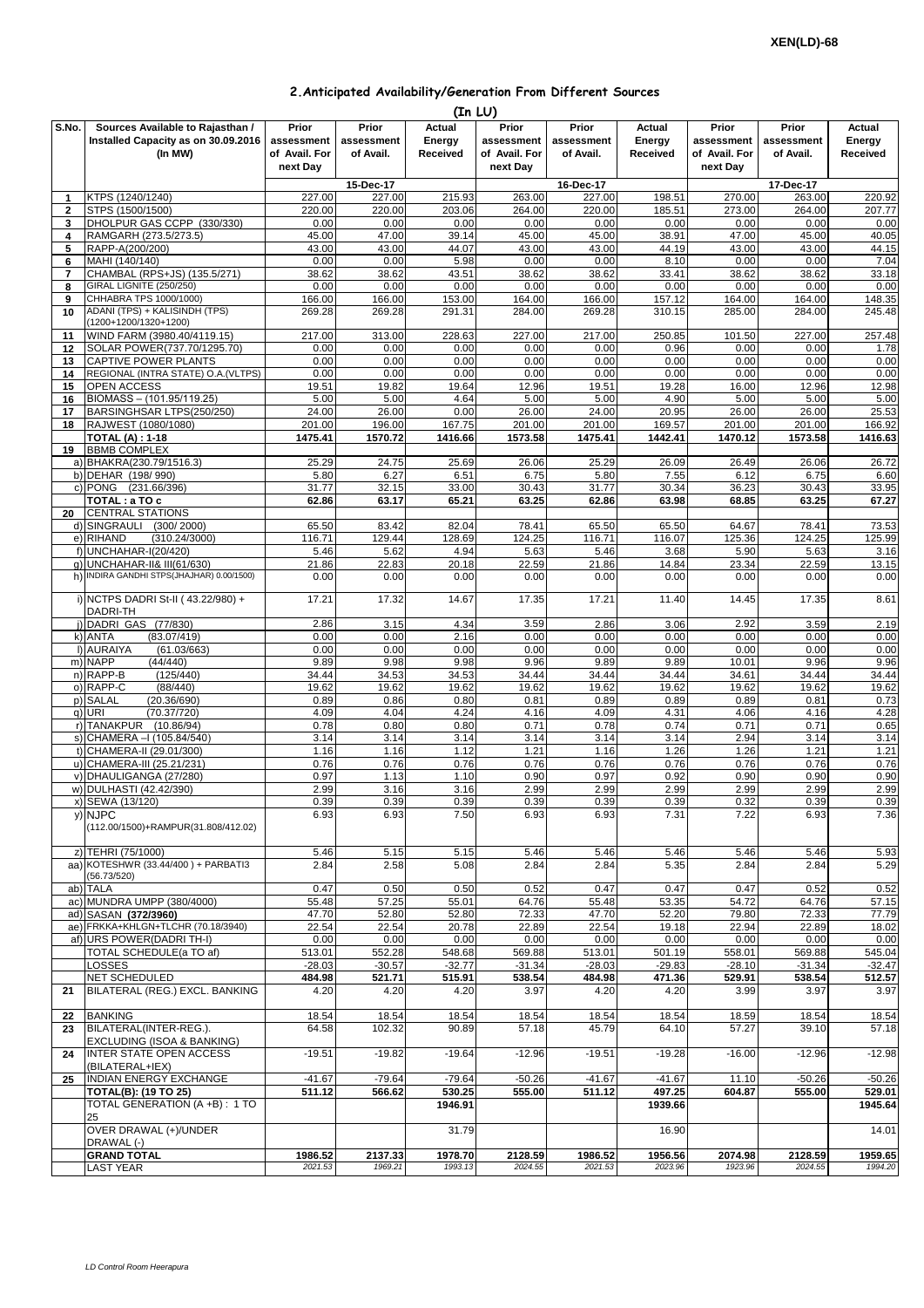## **2.Anticipated Availability/Generation From Different Sources**

|                |                                                            |                |                | (In LU)        |                |                |                |                |                |                |
|----------------|------------------------------------------------------------|----------------|----------------|----------------|----------------|----------------|----------------|----------------|----------------|----------------|
| S.No.          | Sources Available to Rajasthan /                           | Prior          | Prior          | Actual         | Prior          | Prior          | Actual         | Prior          | Prior          | Actual         |
|                | Installed Capacity as on 30.09.2016                        | assessment     | assessment     | Energy         | assessment     | assessment     | Energy         | assessment     | assessment     | Energy         |
|                | (In MW)                                                    | of Avail. For  | of Avail.      | Received       | of Avail. For  | of Avail.      | Received       | of Avail. For  | of Avail.      | Received       |
|                |                                                            | next Day       |                |                | next Day       |                |                | next Day       |                |                |
|                |                                                            |                | 15-Dec-17      |                |                | 16-Dec-17      |                |                | 17-Dec-17      |                |
| 1              | KTPS (1240/1240)                                           | 227.00         | 227.00         | 215.93         | 263.00         | 227.00         | 198.51         | 270.00         | 263.00         | 220.92         |
| $\mathbf{2}$   | STPS (1500/1500)                                           | 220.00         | 220.00         | 203.06         | 264.00         | 220.00         | 185.51         | 273.00         | 264.00         | 207.77         |
| 3<br>4         | DHOLPUR GAS CCPP (330/330)<br>RAMGARH (273.5/273.5)        | 0.00<br>45.00  | 0.00<br>47.00  | 0.00<br>39.14  | 0.00<br>45.00  | 0.00<br>45.00  | 0.00<br>38.91  | 0.00<br>47.00  | 0.00<br>45.00  | 0.00<br>40.05  |
| 5              | RAPP-A(200/200)                                            | 43.00          | 43.00          | 44.07          | 43.00          | 43.00          | 44.19          | 43.00          | 43.00          | 44.15          |
| 6              | MAHI (140/140)                                             | 0.00           | 0.00           | 5.98           | 0.00           | 0.00           | 8.10           | 0.00           | 0.00           | 7.04           |
| $\overline{7}$ | CHAMBAL (RPS+JS) (135.5/271)                               | 38.62          | 38.62          | 43.51          | 38.62          | 38.62          | 33.41          | 38.62          | 38.62          | 33.18          |
| 8              | GIRAL LIGNITE (250/250)                                    | 0.00           | 0.00           | 0.00           | 0.00           | 0.00           | 0.00           | 0.00           | 0.00           | 0.00           |
| 9              | CHHABRA TPS 1000/1000)                                     | 166.00         | 166.00         | 153.00         | 164.00         | 166.00         | 157.12         | 164.00         | 164.00         | 148.35         |
| 10             | ADANI (TPS) + KALISINDH (TPS)<br>(1200+1200/1320+1200)     | 269.28         | 269.28         | 291.31         | 284.00         | 269.28         | 310.15         | 285.00         | 284.00         | 245.48         |
| 11             | WIND FARM (3980.40/4119.15)                                | 217.00         | 313.00         | 228.63         | 227.00         | 217.00         | 250.85         | 101.50         | 227.00         | 257.48         |
| 12<br>13       | SOLAR POWER(737.70/1295.70)<br>CAPTIVE POWER PLANTS        | 0.00<br>0.00   | 0.00<br>0.00   | 0.00<br>0.00   | 0.00<br>0.00   | 0.00<br>0.00   | 0.96<br>0.00   | 0.00<br>0.00   | 0.00<br>0.00   | 1.78<br>0.00   |
| 14             | REGIONAL (INTRA STATE) O.A. (VLTPS)                        | 0.00           | 0.00           | 0.00           | 0.00           | 0.00           | 0.00           | 0.00           | 0.00           | 0.00           |
| 15             | OPEN ACCESS                                                | 19.51          | 19.82          | 19.64          | 12.96          | 19.51          | 19.28          | 16.00          | 12.96          | 12.98          |
| 16             | BIOMASS - (101.95/119.25)                                  | 5.00           | 5.00           | 4.64           | 5.00           | 5.00           | 4.90           | 5.00           | 5.00           | 5.00           |
| 17             | BARSINGHSAR LTPS(250/250)                                  | 24.00          | 26.00          | 0.00           | 26.00          | 24.00          | 20.95          | 26.00          | 26.00          | 25.53          |
| 18             | RAJWEST (1080/1080)                                        | 201.00         | 196.00         | 167.75         | 201.00         | 201.00         | 169.57         | 201.00         | 201.00         | 166.92         |
|                | <b>TOTAL (A): 1-18</b>                                     | 1475.41        | 1570.72        | 1416.66        | 1573.58        | 1475.41        | 1442.41        | 1470.12        | 1573.58        | 1416.63        |
| 19             | <b>BBMB COMPLEX</b>                                        |                |                |                |                |                |                |                |                |                |
|                | a) BHAKRA(230.79/1516.3)                                   | 25.29          | 24.75          | 25.69          | 26.06          | 25.29          | 26.09          | 26.49          | 26.06          | 26.72          |
|                | b) DEHAR (198/990)                                         | 5.80           | 6.27           | 6.51           | 6.75           | 5.80           | 7.55           | 6.12           | 6.75           | 6.60           |
|                | c) PONG (231.66/396)<br>TOTAL : a TO c                     | 31.77<br>62.86 | 32.15<br>63.17 | 33.00<br>65.21 | 30.43<br>63.25 | 31.77<br>62.86 | 30.34<br>63.98 | 36.23<br>68.85 | 30.43<br>63.25 | 33.95<br>67.27 |
| 20             | <b>CENTRAL STATIONS</b>                                    |                |                |                |                |                |                |                |                |                |
| d)             | SINGRAULI<br>(300/2000)                                    | 65.50          | 83.42          | 82.04          | 78.41          | 65.50          | 65.50          | 64.67          | 78.41          | 73.53          |
|                | e) RIHAND<br>(310.24/3000)                                 | 116.71         | 129.44         | 128.69         | 124.25         | 116.71         | 116.07         | 125.36         | 124.25         | 125.99         |
| $f$ )          | <b>UNCHAHAR-I(20/420)</b>                                  | 5.46           | 5.62           | 4.94           | 5.63           | 5.46           | 3.68           | 5.90           | 5.63           | 3.16           |
| g)             | UNCHAHAR-II& III(61/630)                                   | 21.86          | 22.83          | 20.18          | 22.59          | 21.86          | 14.84          | 23.34          | 22.59          | 13.15          |
| h)             | INDIRA GANDHI STPS(JHAJHAR) 0.00/1500)                     | 0.00           | 0.00           | 0.00           | 0.00           | 0.00           | 0.00           | 0.00           | 0.00           | 0.00           |
|                | i) NCTPS DADRI St-II (43.22/980) +<br>DADRI-TH             | 17.21          | 17.32          | 14.67          | 17.35          | 17.21          | 11.40          | 14.45          | 17.35          | 8.61           |
|                | j) DADRI GAS (77/830)                                      | 2.86           | 3.15           | 4.34           | 3.59           | 2.86           | 3.06           | 2.92           | 3.59           | 2.19           |
|                | k) ANTA<br>(83.07/419)                                     | 0.00           | 0.00           | 2.16           | 0.00           | 0.00           | 0.00           | 0.00           | 0.00           | 0.00           |
|                | (61.03/663)<br>I) AURAIYA                                  | 0.00           | 0.00           | 0.00           | 0.00           | 0.00           | 0.00           | 0.00           | 0.00           | 0.00           |
|                | m) NAPP<br>(44/440)                                        | 9.89           | 9.98           | 9.98           | 9.96           | 9.89           | 9.89           | 10.01          | 9.96           | 9.96           |
|                | n) RAPP-B<br>(125/440)                                     | 34.44          | 34.53          | 34.53          | 34.44          | 34.44          | 34.44          | 34.61          | 34.44          | 34.44          |
|                | o) RAPP-C<br>(88/440)                                      | 19.62          | 19.62          | 19.62          | 19.62          | 19.62          | 19.62          | 19.62          | 19.62          | 19.62          |
|                | p) SALAL<br>(20.36/690)                                    | 0.89           | 0.86           | 0.80           | 0.81           | 0.89           | 0.89           | 0.89           | 0.81           | 0.73           |
|                | (70.37/720)<br>q) URI<br>r) TANAKPUR<br>(10.86/94)         | 4.09<br>0.78   | 4.04<br>0.80   | 4.24<br>0.80   | 4.16<br>0.71   | 4.09<br>0.78   | 4.31<br>0.74   | 4.06<br>0.71   | 4.16<br>0.71   | 4.28           |
|                | s) CHAMERA - (105.84/540)                                  | 3.14           | 3.14           | 3.14           | 3.14           | 3.14           | 3.14           | 2.94           | 3.14           | 0.65<br>3.14   |
|                | t) CHAMERA-II (29.01/300)                                  | 1.16           | 1.16           | 1.12           | 1.21           | 1.16           | 1.26           | 1.26           | 1.21           | 1.21           |
|                | u) CHAMERA-III (25.21/231)                                 | 0.76           | 0.76           | 0.76           | 0.76           | 0.76           | 0.76           | 0.76           | 0.76           | 0.76           |
| V)             | DHAULIGANGA (27/280)                                       | 0.97           | 1.13           | 1.10           | 0.90           | 0.97           | 0.92           | 0.90           | 0.90           | 0.90           |
|                | w) DULHASTI (42.42/390)                                    | 2.99           | 3.16           | 3.16           | 2.99           | 2.99           | 2.99           | 2.99           | 2.99           | 2.99           |
|                | x) SEWA (13/120)                                           | 0.39           | 0.39           | 0.39           | 0.39           | 0.39           | 0.39           | 0.32           | 0.39           | 0.39           |
|                | y) NJPC                                                    | 6.93           | 6.93           | 7.50           | 6.93           | 6.93           | 7.31           | 7.22           | 6.93           | 7.36           |
|                | (112.00/1500)+RAMPUR(31.808/412.02)                        |                |                |                |                |                |                |                |                |                |
|                | z) TEHRI (75/1000)                                         | 5.46           | 5.15           | 5.15           | 5.46           | 5.46           | 5.46           | 5.46           | 5.46           | 5.93           |
|                | aa) KOTESHWR (33.44/400) + PARBATI3                        | 2.84           | 2.58           | 5.08           | 2.84           | 2.84           | 5.35           | 2.84           | 2.84           | 5.29           |
|                | (56.73/520)                                                |                |                |                |                |                |                |                |                |                |
|                | ab) TALA                                                   | 0.47           | 0.50           | 0.50           | 0.52           | 0.47           | 0.47           | 0.47           | 0.52           | 0.52           |
|                | ac) MUNDRA UMPP (380/4000)                                 | 55.48          | 57.25          | 55.01          | 64.76          | 55.48          | 53.35          | 54.72          | 64.76          | 57.15          |
|                | ad) SASAN (372/3960)<br>ae) FRKKA+KHLGN+TLCHR (70.18/3940) | 47.70<br>22.54 | 52.80          | 52.80          | 72.33          | 47.70          | 52.20<br>19.18 | 79.80<br>22.94 | 72.33          | 77.79          |
|                | af) URS POWER(DADRI TH-I)                                  | 0.00           | 22.54<br>0.00  | 20.78<br>0.00  | 22.89<br>0.00  | 22.54<br>0.00  | 0.00           | 0.00           | 22.89<br>0.00  | 18.02<br>0.00  |
|                | TOTAL SCHEDULE(a TO af)                                    | 513.01         | 552.28         | 548.68         | 569.88         | 513.01         | 501.19         | 558.01         | 569.88         | 545.04         |
|                | LOSSES                                                     | $-28.03$       | $-30.57$       | $-32.77$       | $-31.34$       | $-28.03$       | $-29.83$       | $-28.10$       | $-31.34$       | $-32.47$       |
|                | <b>NET SCHEDULED</b>                                       | 484.98         | 521.71         | 515.91         | 538.54         | 484.98         | 471.36         | 529.91         | 538.54         | 512.57         |
| 21             | BILATERAL (REG.) EXCL. BANKING                             | 4.20           | 4.20           | 4.20           | 3.97           | 4.20           | 4.20           | 3.99           | 3.97           | 3.97           |
| 22             | <b>BANKING</b>                                             | 18.54          | 18.54          | 18.54          | 18.54          | 18.54          | 18.54          | 18.59          | 18.54          | 18.54          |
| 23             | BILATERAL(INTER-REG.).<br>EXCLUDING (ISOA & BANKING)       | 64.58          | 102.32         | 90.89          | 57.18          | 45.79          | 64.10          | 57.27          | 39.10          | 57.18          |
| 24             | <b>INTER STATE OPEN ACCESS</b><br>(BILATERAL+IEX)          | $-19.51$       | $-19.82$       | $-19.64$       | $-12.96$       | $-19.51$       | $-19.28$       | $-16.00$       | $-12.96$       | $-12.98$       |
| 25             | INDIAN ENERGY EXCHANGE                                     | $-41.67$       | $-79.64$       | $-79.64$       | $-50.26$       | $-41.67$       | $-41.67$       | 11.10          | $-50.26$       | $-50.26$       |
|                | <b>TOTAL(B): (19 TO 25)</b>                                | 511.12         | 566.62         | 530.25         | 555.00         | 511.12         | 497.25         | 604.87         | 555.00         | 529.01         |
|                | TOTAL GENERATION (A +B) : 1 TO<br>25                       |                |                | 1946.91        |                |                | 1939.66        |                |                | 1945.64        |
|                | OVER DRAWAL (+)/UNDER<br>DRAWAL (-)                        |                |                | 31.79          |                |                | 16.90          |                |                | 14.01          |
|                | <b>GRAND TOTAL</b>                                         | 1986.52        | 2137.33        | 1978.70        | 2128.59        | 1986.52        | 1956.56        | 2074.98        | 2128.59        | 1959.65        |
|                | <b>LAST YEAR</b>                                           | 2021.53        | 1969.21        | 1993.13        | 2024.55        | 2021.53        | 2023.96        | 1923.96        | 2024.55        | 1994.20        |